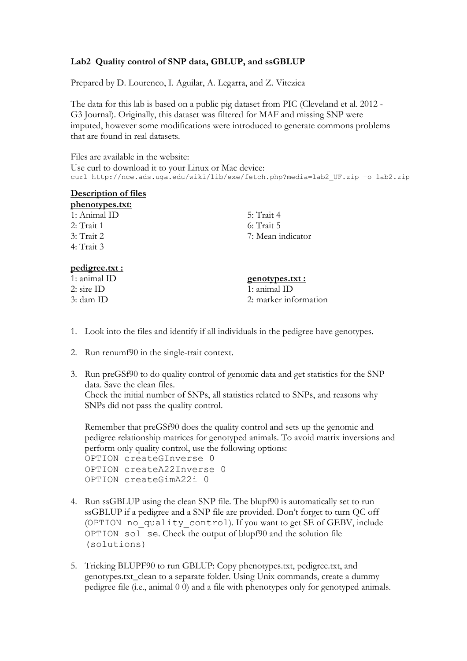## **Lab2 Quality control of SNP data, GBLUP, and ssGBLUP**

Prepared by D. Lourenco, I. Aguilar, A. Legarra, and Z. Vitezica

The data for this lab is based on a public pig dataset from PIC (Cleveland et al. 2012 - G3 Journal). Originally, this dataset was filtered for MAF and missing SNP were imputed, however some modifications were introduced to generate commons problems that are found in real datasets.

Files are available in the website: Use curl to download it to your Linux or Mac device: curl http://nce.ads.uga.edu/wiki/lib/exe/fetch.php?media=lab2 UF.zip -o lab2.zip

## **Description of files**

| phenotypes.txt: |                   |
|-----------------|-------------------|
| 1: Animal ID    | 5: Trait 4        |
| $2:$ Trait 1    | $6:$ Trait 5      |
| $3:$ Trait 2    | 7: Mean indicator |
| 4: Trait 3      |                   |

## **pedigree.txt :**

1: animal ID 2: sire ID 3: dam ID

## **genotypes.txt :**

1: animal ID 2: marker information

- 1. Look into the files and identify if all individuals in the pedigree have genotypes.
- 2. Run renumf90 in the single-trait context.
- 3. Run preGSf90 to do quality control of genomic data and get statistics for the SNP data. Save the clean files. Check the initial number of SNPs, all statistics related to SNPs, and reasons why SNPs did not pass the quality control.

Remember that preGSf90 does the quality control and sets up the genomic and pedigree relationship matrices for genotyped animals. To avoid matrix inversions and perform only quality control, use the following options: OPTION createGInverse 0 OPTION createA22Inverse 0 OPTION createGimA22i 0

- 4. Run ssGBLUP using the clean SNP file. The blupf90 is automatically set to run ssGBLUP if a pedigree and a SNP file are provided. Don't forget to turn QC off (OPTION no\_quality\_control). If you want to get SE of GEBV, include OPTION sol se. Check the output of blupf90 and the solution file (solutions)
- 5. Tricking BLUPF90 to run GBLUP: Copy phenotypes.txt, pedigree.txt, and genotypes.txt\_clean to a separate folder. Using Unix commands, create a dummy pedigree file (i.e., animal 0 0) and a file with phenotypes only for genotyped animals.